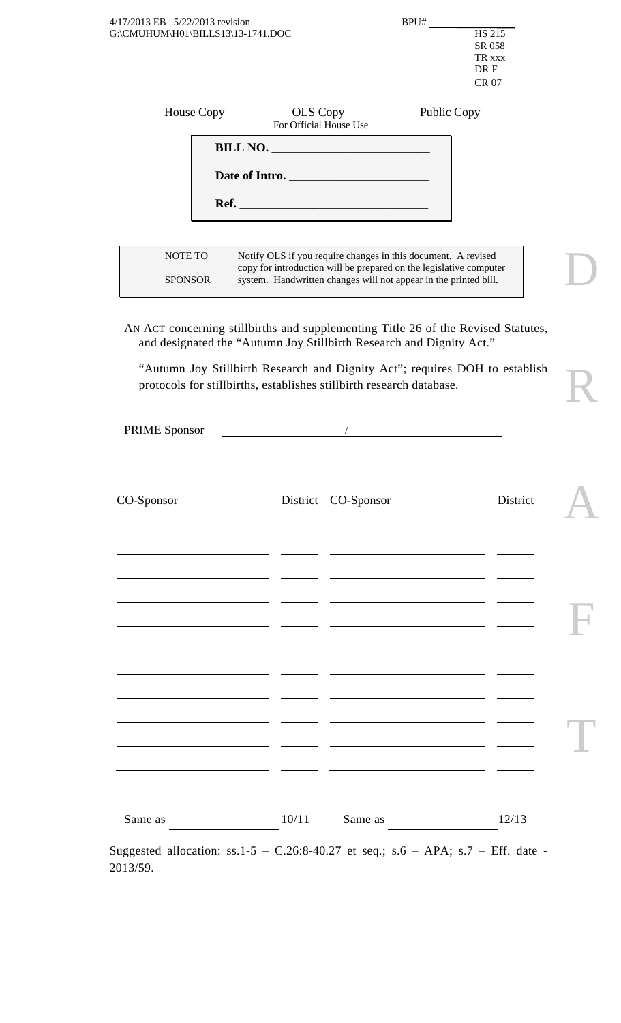| G:\CMUHUM\H01\BILLS13\13-1741.DOC                                                                                                                         |                                    |                                                                                                                                                                                                         |                    | <b>HS 215</b><br>SR 058<br>TR xxx<br>DR F<br><b>CR 07</b> |  |
|-----------------------------------------------------------------------------------------------------------------------------------------------------------|------------------------------------|---------------------------------------------------------------------------------------------------------------------------------------------------------------------------------------------------------|--------------------|-----------------------------------------------------------|--|
| House Copy                                                                                                                                                | OLS Copy<br>For Official House Use |                                                                                                                                                                                                         | <b>Public Copy</b> |                                                           |  |
|                                                                                                                                                           |                                    |                                                                                                                                                                                                         |                    |                                                           |  |
|                                                                                                                                                           |                                    | Date of Intro.                                                                                                                                                                                          |                    |                                                           |  |
|                                                                                                                                                           |                                    |                                                                                                                                                                                                         |                    |                                                           |  |
|                                                                                                                                                           |                                    |                                                                                                                                                                                                         |                    |                                                           |  |
| NOTE TO<br><b>SPONSOR</b>                                                                                                                                 |                                    | Notify OLS if you require changes in this document. A revised<br>copy for introduction will be prepared on the legislative computer<br>system. Handwritten changes will not appear in the printed bill. |                    |                                                           |  |
| AN ACT concerning stillbirths and supplementing Title 26 of the Revised Statutes,<br>and designated the "Autumn Joy Stillbirth Research and Dignity Act." |                                    |                                                                                                                                                                                                         |                    |                                                           |  |
| "Autumn Joy Stillbirth Research and Dignity Act"; requires DOH to establish<br>protocols for stillbirths, establishes stillbirth research database.       |                                    |                                                                                                                                                                                                         |                    |                                                           |  |
|                                                                                                                                                           |                                    |                                                                                                                                                                                                         |                    |                                                           |  |
| <b>PRIME Sponsor</b>                                                                                                                                      |                                    |                                                                                                                                                                                                         |                    |                                                           |  |
|                                                                                                                                                           |                                    |                                                                                                                                                                                                         |                    |                                                           |  |
| CO-Sponsor                                                                                                                                                |                                    | District CO-Sponsor                                                                                                                                                                                     |                    | District                                                  |  |
|                                                                                                                                                           |                                    |                                                                                                                                                                                                         |                    |                                                           |  |
|                                                                                                                                                           |                                    |                                                                                                                                                                                                         |                    |                                                           |  |
|                                                                                                                                                           |                                    |                                                                                                                                                                                                         |                    |                                                           |  |
|                                                                                                                                                           |                                    |                                                                                                                                                                                                         |                    |                                                           |  |
|                                                                                                                                                           |                                    |                                                                                                                                                                                                         |                    |                                                           |  |
|                                                                                                                                                           |                                    |                                                                                                                                                                                                         |                    |                                                           |  |
|                                                                                                                                                           |                                    |                                                                                                                                                                                                         |                    |                                                           |  |
|                                                                                                                                                           | <u>and the second property</u>     |                                                                                                                                                                                                         |                    |                                                           |  |
|                                                                                                                                                           |                                    | <u> 1989 - Johann Barn, fransk politik (f. 1989)</u>                                                                                                                                                    |                    |                                                           |  |
|                                                                                                                                                           |                                    |                                                                                                                                                                                                         |                    |                                                           |  |

2013/59.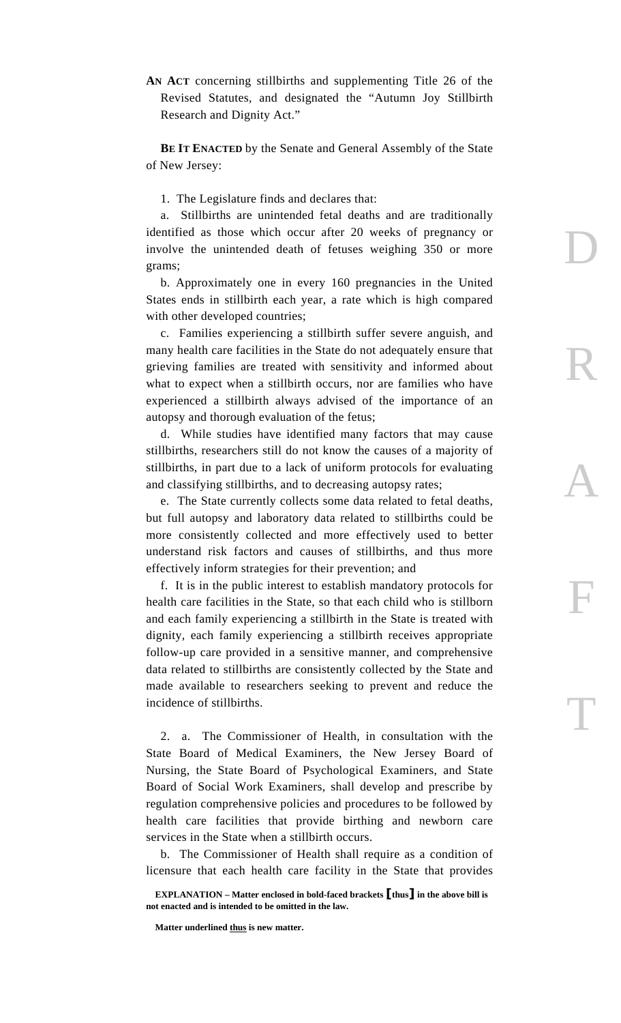**AN ACT** concerning stillbirths and supplementing Title 26 of the Revised Statutes, and designated the "Autumn Joy Stillbirth Research and Dignity Act."

**BE IT ENACTED** by the Senate and General Assembly of the State of New Jersey:

1. The Legislature finds and declares that:

 a. Stillbirths are unintended fetal deaths and are traditionally identified as those which occur after 20 weeks of pregnancy or involve the unintended death of fetuses weighing 350 or more grams;

D

R

A

F

T

 b. Approximately one in every 160 pregnancies in the United States ends in stillbirth each year, a rate which is high compared with other developed countries;

 c. Families experiencing a stillbirth suffer severe anguish, and many health care facilities in the State do not adequately ensure that grieving families are treated with sensitivity and informed about what to expect when a stillbirth occurs, nor are families who have experienced a stillbirth always advised of the importance of an autopsy and thorough evaluation of the fetus;

 d. While studies have identified many factors that may cause stillbirths, researchers still do not know the causes of a majority of stillbirths, in part due to a lack of uniform protocols for evaluating and classifying stillbirths, and to decreasing autopsy rates;

 e. The State currently collects some data related to fetal deaths, but full autopsy and laboratory data related to stillbirths could be more consistently collected and more effectively used to better understand risk factors and causes of stillbirths, and thus more effectively inform strategies for their prevention; and

 f. It is in the public interest to establish mandatory protocols for health care facilities in the State, so that each child who is stillborn and each family experiencing a stillbirth in the State is treated with dignity, each family experiencing a stillbirth receives appropriate follow-up care provided in a sensitive manner, and comprehensive data related to stillbirths are consistently collected by the State and made available to researchers seeking to prevent and reduce the incidence of stillbirths.

 2. a. The Commissioner of Health, in consultation with the State Board of Medical Examiners, the New Jersey Board of Nursing, the State Board of Psychological Examiners, and State Board of Social Work Examiners, shall develop and prescribe by regulation comprehensive policies and procedures to be followed by health care facilities that provide birthing and newborn care services in the State when a stillbirth occurs.

 b. The Commissioner of Health shall require as a condition of licensure that each health care facility in the State that provides

**EXPLANATION – Matter enclosed in bold-faced brackets [thus] in the above bill is not enacted and is intended to be omitted in the law.** 

**Matter underlined thus is new matter.**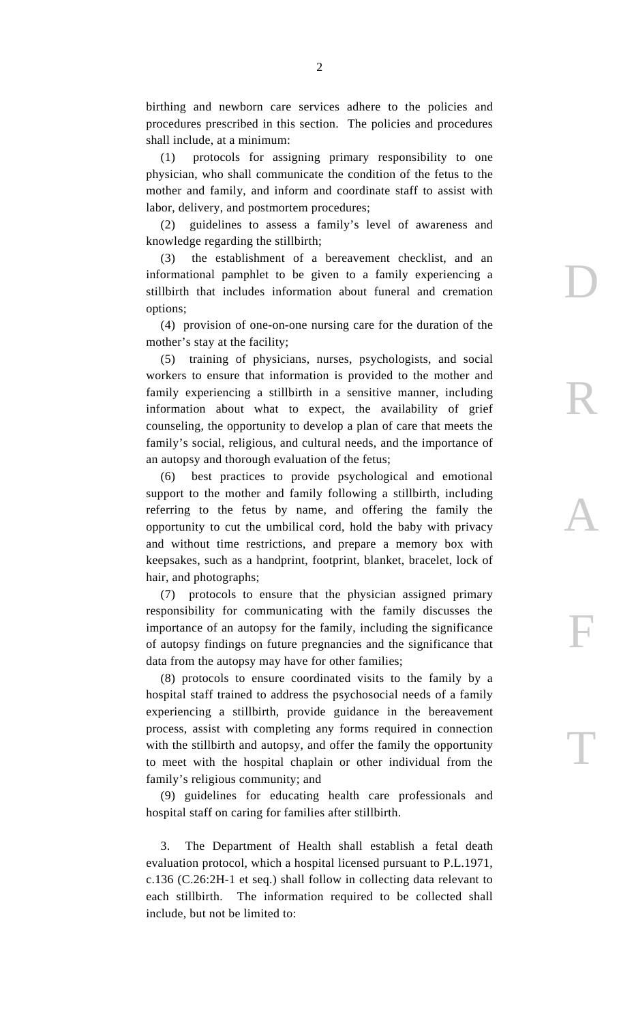birthing and newborn care services adhere to the policies and procedures prescribed in this section. The policies and procedures shall include, at a minimum:

 (1) protocols for assigning primary responsibility to one physician, who shall communicate the condition of the fetus to the mother and family, and inform and coordinate staff to assist with labor, delivery, and postmortem procedures;

 (2) guidelines to assess a family's level of awareness and knowledge regarding the stillbirth;

 (3) the establishment of a bereavement checklist, and an informational pamphlet to be given to a family experiencing a stillbirth that includes information about funeral and cremation options;

D

R

A

F

T

 (4) provision of one-on-one nursing care for the duration of the mother's stay at the facility;

 (5) training of physicians, nurses, psychologists, and social workers to ensure that information is provided to the mother and family experiencing a stillbirth in a sensitive manner, including information about what to expect, the availability of grief counseling, the opportunity to develop a plan of care that meets the family's social, religious, and cultural needs, and the importance of an autopsy and thorough evaluation of the fetus;

 (6) best practices to provide psychological and emotional support to the mother and family following a stillbirth, including referring to the fetus by name, and offering the family the opportunity to cut the umbilical cord, hold the baby with privacy and without time restrictions, and prepare a memory box with keepsakes, such as a handprint, footprint, blanket, bracelet, lock of hair, and photographs;

 (7) protocols to ensure that the physician assigned primary responsibility for communicating with the family discusses the importance of an autopsy for the family, including the significance of autopsy findings on future pregnancies and the significance that data from the autopsy may have for other families;

 (8) protocols to ensure coordinated visits to the family by a hospital staff trained to address the psychosocial needs of a family experiencing a stillbirth, provide guidance in the bereavement process, assist with completing any forms required in connection with the stillbirth and autopsy, and offer the family the opportunity to meet with the hospital chaplain or other individual from the family's religious community; and

 (9) guidelines for educating health care professionals and hospital staff on caring for families after stillbirth.

 3. The Department of Health shall establish a fetal death evaluation protocol, which a hospital licensed pursuant to P.L.1971, c.136 (C.26:2H-1 et seq.) shall follow in collecting data relevant to each stillbirth. The information required to be collected shall include, but not be limited to: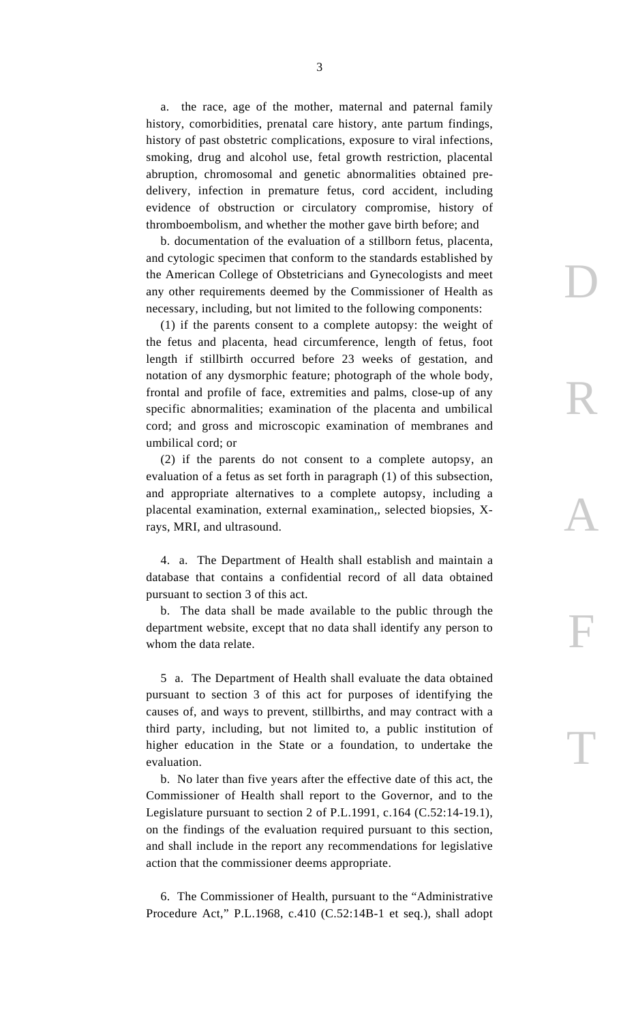a. the race, age of the mother, maternal and paternal family history, comorbidities, prenatal care history, ante partum findings, history of past obstetric complications, exposure to viral infections, smoking, drug and alcohol use, fetal growth restriction, placental abruption, chromosomal and genetic abnormalities obtained predelivery, infection in premature fetus, cord accident, including evidence of obstruction or circulatory compromise, history of thromboembolism, and whether the mother gave birth before; and

 b. documentation of the evaluation of a stillborn fetus, placenta, and cytologic specimen that conform to the standards established by the American College of Obstetricians and Gynecologists and meet any other requirements deemed by the Commissioner of Health as necessary, including, but not limited to the following components:

D

R

A

F

T

 (1) if the parents consent to a complete autopsy: the weight of the fetus and placenta, head circumference, length of fetus, foot length if stillbirth occurred before 23 weeks of gestation, and notation of any dysmorphic feature; photograph of the whole body, frontal and profile of face, extremities and palms, close-up of any specific abnormalities; examination of the placenta and umbilical cord; and gross and microscopic examination of membranes and umbilical cord; or

 (2) if the parents do not consent to a complete autopsy, an evaluation of a fetus as set forth in paragraph (1) of this subsection, and appropriate alternatives to a complete autopsy, including a placental examination, external examination,, selected biopsies, Xrays, MRI, and ultrasound.

 4. a. The Department of Health shall establish and maintain a database that contains a confidential record of all data obtained pursuant to section 3 of this act.

 b. The data shall be made available to the public through the department website, except that no data shall identify any person to whom the data relate.

 5 a. The Department of Health shall evaluate the data obtained pursuant to section 3 of this act for purposes of identifying the causes of, and ways to prevent, stillbirths, and may contract with a third party, including, but not limited to, a public institution of higher education in the State or a foundation, to undertake the evaluation.

 b. No later than five years after the effective date of this act, the Commissioner of Health shall report to the Governor, and to the Legislature pursuant to section 2 of P.L.1991, c.164 (C.52:14-19.1), on the findings of the evaluation required pursuant to this section, and shall include in the report any recommendations for legislative action that the commissioner deems appropriate.

 6. The Commissioner of Health, pursuant to the "Administrative Procedure Act," P.L.1968, c.410 (C.52:14B-1 et seq.), shall adopt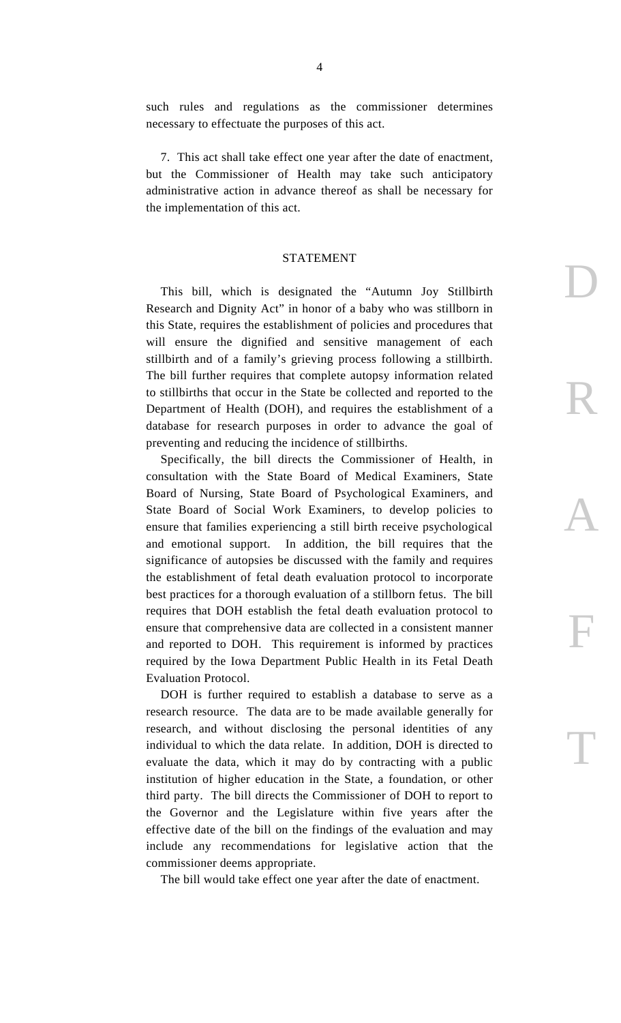such rules and regulations as the commissioner determines necessary to effectuate the purposes of this act.

 7. This act shall take effect one year after the date of enactment, but the Commissioner of Health may take such anticipatory administrative action in advance thereof as shall be necessary for the implementation of this act.

## STATEMENT

D

R

A

F

T

 This bill, which is designated the "Autumn Joy Stillbirth Research and Dignity Act" in honor of a baby who was stillborn in this State, requires the establishment of policies and procedures that will ensure the dignified and sensitive management of each stillbirth and of a family's grieving process following a stillbirth. The bill further requires that complete autopsy information related to stillbirths that occur in the State be collected and reported to the Department of Health (DOH), and requires the establishment of a database for research purposes in order to advance the goal of preventing and reducing the incidence of stillbirths.

 Specifically, the bill directs the Commissioner of Health, in consultation with the State Board of Medical Examiners, State Board of Nursing, State Board of Psychological Examiners, and State Board of Social Work Examiners, to develop policies to ensure that families experiencing a still birth receive psychological and emotional support. In addition, the bill requires that the significance of autopsies be discussed with the family and requires the establishment of fetal death evaluation protocol to incorporate best practices for a thorough evaluation of a stillborn fetus. The bill requires that DOH establish the fetal death evaluation protocol to ensure that comprehensive data are collected in a consistent manner and reported to DOH. This requirement is informed by practices required by the Iowa Department Public Health in its Fetal Death Evaluation Protocol.

 DOH is further required to establish a database to serve as a research resource. The data are to be made available generally for research, and without disclosing the personal identities of any individual to which the data relate. In addition, DOH is directed to evaluate the data, which it may do by contracting with a public institution of higher education in the State, a foundation, or other third party. The bill directs the Commissioner of DOH to report to the Governor and the Legislature within five years after the effective date of the bill on the findings of the evaluation and may include any recommendations for legislative action that the commissioner deems appropriate.

The bill would take effect one year after the date of enactment.